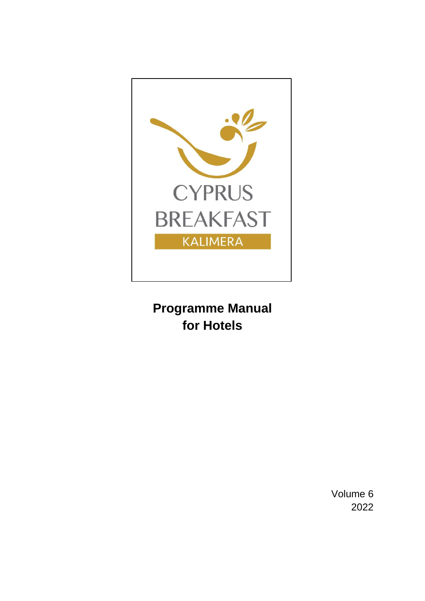

# **Programme Manual for Hotels**

Volume 6 2022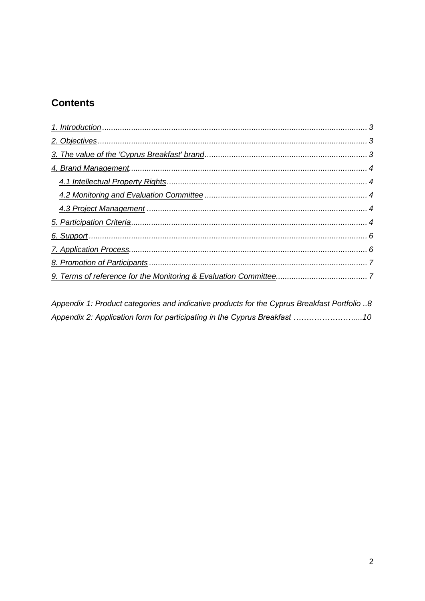# **Contents**

Appendix 1: Product categories and indicative products for the Cyprus Breakfast Portfolio ..8 Appendix 2: Application form for participating in the Cyprus Breakfast ............................. 10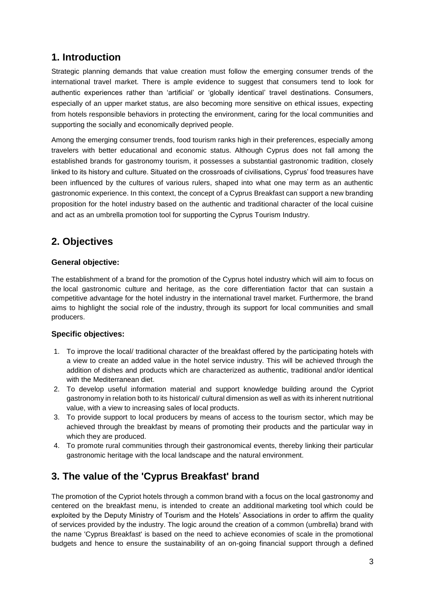# <span id="page-2-0"></span>**1. Introduction**

Strategic planning demands that value creation must follow the emerging consumer trends of the international travel market. There is ample evidence to suggest that consumers tend to look for authentic experiences rather than 'artificial' or 'globally identical' travel destinations. Consumers, especially of an upper market status, are also becoming more sensitive on ethical issues, expecting from hotels responsible behaviors in protecting the environment, caring for the local communities and supporting the socially and economically deprived people.

Among the emerging consumer trends, food tourism ranks high in their preferences, especially among travelers with better educational and economic status. Although Cyprus does not fall among the established brands for gastronomy tourism, it possesses a substantial gastronomic tradition, closely linked to its history and culture. Situated on the crossroads of civilisations, Cyprus' food treasures have been influenced by the cultures of various rulers, shaped into what one may term as an authentic gastronomic experience. In this context, the concept of a Cyprus Breakfast can support a new branding proposition for the hotel industry based on the authentic and traditional character of the local cuisine and act as an umbrella promotion tool for supporting the Cyprus Tourism Industry.

# <span id="page-2-1"></span>**2. Objectives**

### **General objective:**

The establishment of a brand for the promotion of the Cyprus hotel industry which will aim to focus on the local gastronomic culture and heritage, as the core differentiation factor that can sustain a competitive advantage for the hotel industry in the international travel market. Furthermore, the brand aims to highlight the social role of the industry, through its support for local communities and small producers.

### **Specific objectives:**

- 1. To improve the local/ traditional character of the breakfast offered by the participating hotels with a view to create an added value in the hotel service industry. This will be achieved through the addition of dishes and products which are characterized as authentic, traditional and/or identical with the Mediterranean diet.
- 2. To develop useful information material and support knowledge building around the Cypriot gastronomy in relation both to its historical/ cultural dimension as well as with its inherent nutritional value, with a view to increasing sales of local products.
- 3. To provide support to local producers by means of access to the tourism sector, which may be achieved through the breakfast by means of promoting their products and the particular way in which they are produced.
- 4. To promote rural communities through their gastronomical events, thereby linking their particular gastronomic heritage with the local landscape and the natural environment.

# <span id="page-2-2"></span>**3. The value of the 'Cyprus Breakfast' brand**

The promotion of the Cypriot hotels through a common brand with a focus on the local gastronomy and centered on the breakfast menu, is intended to create an additional marketing tool which could be exploited by the Deputy Ministry of Tourism and the Hotels' Associations in order to affirm the quality of services provided by the industry. The logic around the creation of a common (umbrella) brand with the name 'Cyprus Breakfast' is based on the need to achieve economies of scale in the promotional budgets and hence to ensure the sustainability of an on-going financial support through a defined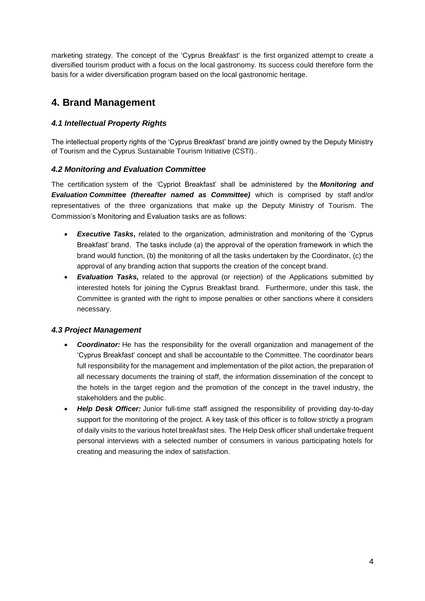marketing strategy. The concept of the 'Cyprus Breakfast' is the first organized attempt to create a diversified tourism product with a focus on the local gastronomy. Its success could therefore form the basis for a wider diversification program based on the local gastronomic heritage.

### <span id="page-3-0"></span>**4. Brand Management**

### <span id="page-3-1"></span>*4.1 Intellectual Property Rights*

The intellectual property rights of the 'Cyprus Breakfast' brand are jointly owned by the Deputy Ministry of Tourism and the Cyprus Sustainable Tourism Initiative (CSTI)..

### <span id="page-3-2"></span>*4.2 Monitoring and Evaluation Committee*

The certification system of the 'Cypriot Breakfast' shall be administered by the *Monitoring and Evaluation Committee (thereafter named as Committee)* which is comprised by staff and/or representatives of the three organizations that make up the Deputy Ministry of Tourism. The Commission's Monitoring and Evaluation tasks are as follows:

- **Executive Tasks**, related to the organization, administration and monitoring of the 'Cyprus' Breakfast' brand. The tasks include (a) the approval of the operation framework in which the brand would function, (b) the monitoring of all the tasks undertaken by the Coordinator, (c) the approval of any branding action that supports the creation of the concept brand.
- *Evaluation Tasks,* related to the approval (or rejection) of the Applications submitted by interested hotels for joining the Cyprus Breakfast brand. Furthermore, under this task, the Committee is granted with the right to impose penalties or other sanctions where it considers necessary.

### <span id="page-3-3"></span>*4.3 Project Management*

- *Coordinator:* He has the responsibility for the overall organization and management of the 'Cyprus Breakfast' concept and shall be accountable to the Committee. The coordinator bears full responsibility for the management and implementation of the pilot action, the preparation of all necessary documents the training of staff, the information dissemination of the concept to the hotels in the target region and the promotion of the concept in the travel industry, the stakeholders and the public.
- <span id="page-3-4"></span> *Help Desk Officer:* Junior full-time staff assigned the responsibility of providing day-to-day support for the monitoring of the project. A key task of this officer is to follow strictly a program of daily visits to the various hotel breakfast sites. The Help Desk officer shall undertake frequent personal interviews with a selected number of consumers in various participating hotels for creating and measuring the index of satisfaction.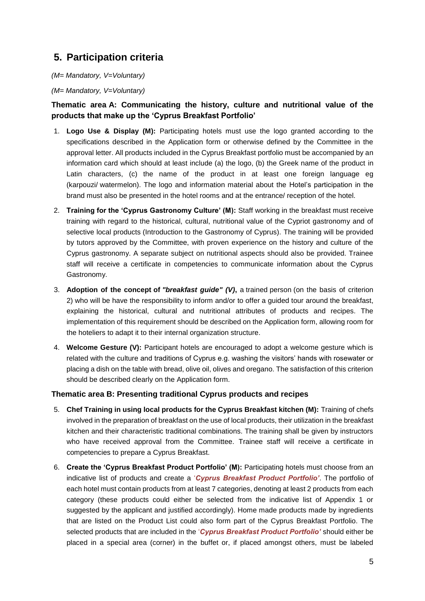# <span id="page-4-0"></span>**5. Participation criteria**

*(M= Mandatory, V=Voluntary) (M= Mandatory, V=Voluntary)*

### **Thematic area A: Communicating the history, culture and nutritional value of the products that make up the 'Cyprus Breakfast Portfolio'**

- 1. **Logo Use & Display (M):** Participating hotels must use the logo granted according to the specifications described in the Application form or otherwise defined by the Committee in the approval letter. All products included in the Cyprus Breakfast portfolio must be accompanied by an information card which should at least include (a) the logo, (b) the Greek name of the product in Latin characters, (c) the name of the product in at least one foreign language eg (karpouzi/ watermelon). The logo and information material about the Hotel's participation in the brand must also be presented in the hotel rooms and at the entrance/ reception of the hotel.
- 2. **Training for the 'Cyprus Gastronomy Culture' (M):** Staff working in the breakfast must receive training with regard to the historical, cultural, nutritional value of the Cypriot gastronomy and of selective local products (Introduction to the Gastronomy of Cyprus). The training will be provided by tutors approved by the Committee, with proven experience on the history and culture of the Cyprus gastronomy. A separate subject on nutritional aspects should also be provided. Trainee staff will receive a certificate in competencies to communicate information about the Cyprus Gastronomy.
- 3. **Adoption of the concept of** *"breakfast guide" (V)***,** a trained person (on the basis of criterion 2) who will be have the responsibility to inform and/or to offer a guided tour around the breakfast, explaining the historical, cultural and nutritional attributes of products and recipes. The implementation of this requirement should be described on the Application form, allowing room for the hoteliers to adapt it to their internal organization structure.
- 4. **Welcome Gesture (V):** Participant hotels are encouraged to adopt a welcome gesture which is related with the culture and traditions of Cyprus e.g. washing the visitors' hands with rosewater or placing a dish on the table with bread, olive oil, olives and oregano. The satisfaction of this criterion should be described clearly on the Application form.

#### **Thematic area B: Presenting traditional Cyprus products and recipes**

- 5. **Chef Training in using local products for the Cyprus Breakfast kitchen (M):** Training of chefs involved in the preparation of breakfast on the use of local products, their utilization in the breakfast kitchen and their characteristic traditional combinations. The training shall be given by instructors who have received approval from the Committee. Trainee staff will receive a certificate in competencies to prepare a Cyprus Breakfast.
- 6. **Create the 'Cyprus Breakfast Product Portfolio' (M):** Participating hotels must choose from an indicative list of products and create a '*Cyprus Breakfast Product Portfolio'*. The portfolio of each hotel must contain products from at least 7 categories, denoting at least 2 products from each category (these products could either be selected from the indicative list of Appendix 1 or suggested by the applicant and justified accordingly). Home made products made by ingredients that are listed on the Product List could also form part of the Cyprus Breakfast Portfolio. The selected products that are included in the '*Cyprus Breakfast Product Portfolio'* should either be placed in a special area (corner) in the buffet or, if placed amongst others, must be labeled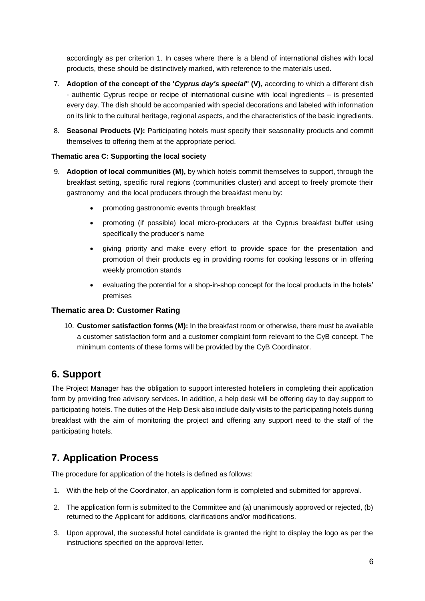accordingly as per criterion 1. In cases where there is a blend of international dishes with local products, these should be distinctively marked, with reference to the materials used.

- 7. **Adoption of the concept of the '***Cyprus day's special***" (V),** according to which a different dish - authentic Cyprus recipe or recipe of international cuisine with local ingredients – is presented every day. The dish should be accompanied with special decorations and labeled with information on its link to the cultural heritage, regional aspects, and the characteristics of the basic ingredients.
- 8. **Seasonal Products (V):** Participating hotels must specify their seasonality products and commit themselves to offering them at the appropriate period.

#### **Thematic area C: Supporting the local society**

- 9. **Adoption of local communities (M),** by which hotels commit themselves to support, through the breakfast setting, specific rural regions (communities cluster) and accept to freely promote their gastronomy and the local producers through the breakfast menu by:
	- promoting gastronomic events through breakfast
	- promoting (if possible) local micro-producers at the Cyprus breakfast buffet using specifically the producer's name
	- giving priority and make every effort to provide space for the presentation and promotion of their products eg in providing rooms for cooking lessons or in offering weekly promotion stands
	- evaluating the potential for a shop-in-shop concept for the local products in the hotels' premises

#### **Thematic area D: Customer Rating**

10. **Customer satisfaction forms (M):** In the breakfast room or otherwise, there must be available a customer satisfaction form and a customer complaint form relevant to the CyB concept. The minimum contents of these forms will be provided by the CyB Coordinator.

### **6. Support**

The Project Manager has the obligation to support interested hoteliers in completing their application form by providing free advisory services. In addition, a help desk will be offering day to day support to participating hotels. The duties of the Help Desk also include daily visits to the participating hotels during breakfast with the aim of monitoring the project and offering any support need to the staff of the participating hotels.

### <span id="page-5-0"></span>**7. Application Process**

The procedure for application of the hotels is defined as follows:

- 1. With the help of the Coordinator, an application form is completed and submitted for approval.
- 2. The application form is submitted to the Committee and (a) unanimously approved or rejected, (b) returned to the Applicant for additions, clarifications and/or modifications.
- 3. Upon approval, the successful hotel candidate is granted the right to display the logo as per the instructions specified on the approval letter.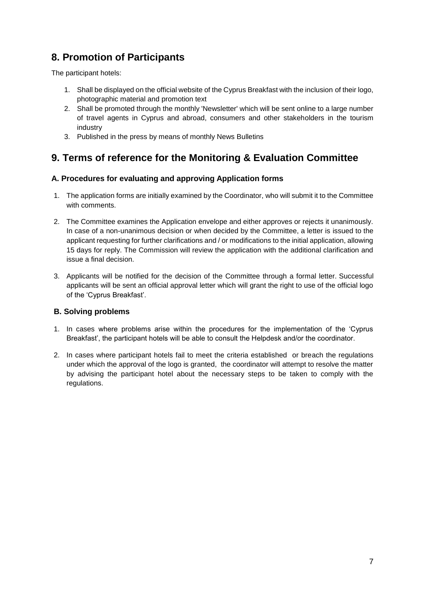# <span id="page-6-0"></span>**8. Promotion of Participants**

The participant hotels:

- 1. Shall be displayed on the official website of the Cyprus Breakfast with the inclusion of their logo, photographic material and promotion text
- 2. Shall be promoted through the monthly 'Newsletter' which will be sent online to a large number of travel agents in Cyprus and abroad, consumers and other stakeholders in the tourism industry
- 3. Published in the press by means of monthly News Bulletins

# <span id="page-6-1"></span>**9. Terms of reference for the Monitoring & Evaluation Committee**

#### **A. Procedures for evaluating and approving Application forms**

- 1. The application forms are initially examined by the Coordinator, who will submit it to the Committee with comments.
- 2. The Committee examines the Application envelope and either approves or rejects it unanimously. In case of a non-unanimous decision or when decided by the Committee, a letter is issued to the applicant requesting for further clarifications and / or modifications to the initial application, allowing 15 days for reply. The Commission will review the application with the additional clarification and issue a final decision.
- 3. Applicants will be notified for the decision of the Committee through a formal letter. Successful applicants will be sent an official approval letter which will grant the right to use of the official logo of the 'Cyprus Breakfast'.

#### **B. Solving problems**

- 1. In cases where problems arise within the procedures for the implementation of the 'Cyprus Breakfast', the participant hotels will be able to consult the Helpdesk and/or the coordinator.
- 2. In cases where participant hotels fail to meet the criteria established or breach the regulations under which the approval of the logo is granted, the coordinator will attempt to resolve the matter by advising the participant hotel about the necessary steps to be taken to comply with the regulations.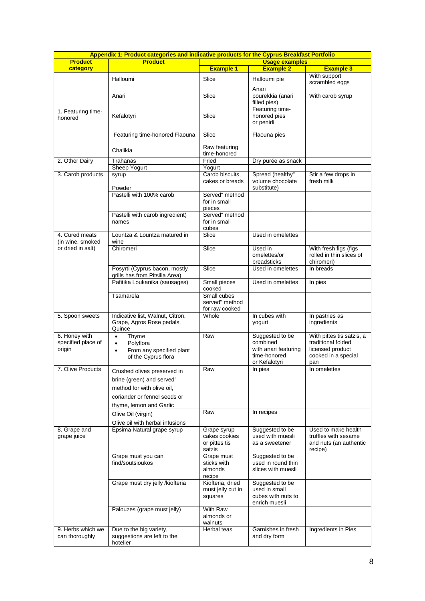| Appendix 1: Product categories and indicative products for the Cyprus Breakfast Portfolio |                                                                         |                                                 |                                                       |                                                                 |  |
|-------------------------------------------------------------------------------------------|-------------------------------------------------------------------------|-------------------------------------------------|-------------------------------------------------------|-----------------------------------------------------------------|--|
| <b>Product</b>                                                                            | <b>Product</b>                                                          |                                                 | <b>Usage examples</b>                                 |                                                                 |  |
| category                                                                                  |                                                                         | <b>Example 1</b>                                | <b>Example 2</b>                                      | <b>Example 3</b>                                                |  |
|                                                                                           | Halloumi                                                                | Slice                                           | Halloumi pie                                          | With support<br>scrambled eggs                                  |  |
|                                                                                           | Anari                                                                   | Slice                                           | Anari<br>pourekkia (anari<br>filled pies)             | With carob syrup                                                |  |
| 1. Featuring time-<br>honored                                                             | Kefalotyri                                                              | Slice                                           | Featuring time-<br>honored pies<br>or penirli         |                                                                 |  |
|                                                                                           | Featuring time-honored Flaouna                                          | Slice                                           | Flaouna pies                                          |                                                                 |  |
|                                                                                           | Chalikia                                                                | Raw featuring<br>time-honored                   |                                                       |                                                                 |  |
| 2. Other Dairy                                                                            | Trahanas                                                                | Fried                                           | Dry purée as snack                                    |                                                                 |  |
|                                                                                           | Sheep Yogurt                                                            | Yogurt                                          |                                                       |                                                                 |  |
| 3. Carob products                                                                         | syrup<br>Powder                                                         | Carob biscuits,<br>cakes or breads              | Spread (healthy"<br>volume chocolate<br>substitute)   | Stir a few drops in<br>fresh milk                               |  |
|                                                                                           | Pastelli with 100% carob                                                | Served" method                                  |                                                       |                                                                 |  |
|                                                                                           |                                                                         | for in small<br>pieces                          |                                                       |                                                                 |  |
|                                                                                           | Pastelli with carob ingredient)                                         | Served" method                                  |                                                       |                                                                 |  |
|                                                                                           | names                                                                   | for in small<br>cubes                           |                                                       |                                                                 |  |
| 4. Cured meats<br>(in wine, smoked                                                        | Lountza & Lountza matured in<br>wine                                    | Slice                                           | Used in omelettes                                     |                                                                 |  |
| or dried in salt)                                                                         | Chiromeri                                                               | Slice                                           | Used in<br>omelettes/or<br>breadsticks                | With fresh figs (figs<br>rolled in thin slices of<br>chiromeri) |  |
|                                                                                           | Posyrti (Cyprus bacon, mostly<br>grills has from Pitsilia Area)         | Slice                                           | Used in omelettes                                     | In breads                                                       |  |
|                                                                                           | Pafitika Loukanika (sausages)                                           | Small pieces<br>cooked                          | Used in omelettes                                     | In pies                                                         |  |
|                                                                                           | Tsamarela                                                               | Small cubes<br>served" method<br>for raw cooked |                                                       |                                                                 |  |
| 5. Spoon sweets                                                                           | Indicative list, Walnut, Citron,<br>Grape, Agros Rose pedals,<br>Quince | Whole                                           | In cubes with<br>yogurt                               | In pastries as<br>ingredients                                   |  |
| 6. Honey with                                                                             | Thyme<br>$\bullet$                                                      | Raw                                             | Suggested to be                                       | With pittes tis satzis, a                                       |  |
| specified place of                                                                        | Polyflora<br>$\bullet$                                                  |                                                 | combined                                              | traditional folded                                              |  |
| origin                                                                                    | From any specified plant<br>$\bullet$<br>of the Cyprus flora            |                                                 | with anari featuring<br>time-honored<br>or Kefalotyri | licensed product<br>cooked in a special<br>pan                  |  |
| 7. Olive Products                                                                         | Crushed olives preserved in                                             | Raw                                             | In pies                                               | In omelettes                                                    |  |
|                                                                                           | brine (green) and served"                                               |                                                 |                                                       |                                                                 |  |
|                                                                                           | method for with olive oil,                                              |                                                 |                                                       |                                                                 |  |
|                                                                                           | coriander or fennel seeds or                                            |                                                 |                                                       |                                                                 |  |
|                                                                                           | thyme, lemon and Garlic                                                 |                                                 |                                                       |                                                                 |  |
|                                                                                           |                                                                         | Raw                                             | In recipes                                            |                                                                 |  |
|                                                                                           | Olive Oil (virgin)<br>Olive oil with herbal infusions                   |                                                 |                                                       |                                                                 |  |
| 8. Grape and                                                                              | Epsima Natural grape syrup                                              | Grape syrup                                     | Suggested to be                                       | Used to make health                                             |  |
| grape juice                                                                               |                                                                         | cakes cookies                                   | used with muesli                                      | truffles with sesame                                            |  |
|                                                                                           |                                                                         | or pittes tis                                   | as a sweetener                                        | and nuts (an authentic                                          |  |
|                                                                                           |                                                                         | satzis                                          |                                                       | recipe)                                                         |  |
|                                                                                           | Grape must you can<br>find/soutsioukos                                  | Grape must<br>sticks with                       | Suggested to be<br>used in round thin                 |                                                                 |  |
|                                                                                           |                                                                         | almonds<br>recipe                               | slices with muesli                                    |                                                                 |  |
|                                                                                           | Grape must dry jelly /kiofteria                                         | Kiofteria, dried                                | Suggested to be                                       |                                                                 |  |
|                                                                                           |                                                                         | must jelly cut in<br>squares                    | used in small<br>cubes with nuts to<br>enrich muesli  |                                                                 |  |
|                                                                                           | Palouzes (grape must jelly)                                             | With Raw                                        |                                                       |                                                                 |  |
|                                                                                           |                                                                         | almonds or<br>walnuts                           |                                                       |                                                                 |  |
| 9. Herbs which we                                                                         | Due to the big variety,                                                 | Herbal teas                                     | Garnishes in fresh                                    | Ingredients in Pies                                             |  |
| can thoroughly                                                                            | suggestions are left to the<br>hotelier                                 |                                                 | and dry form                                          |                                                                 |  |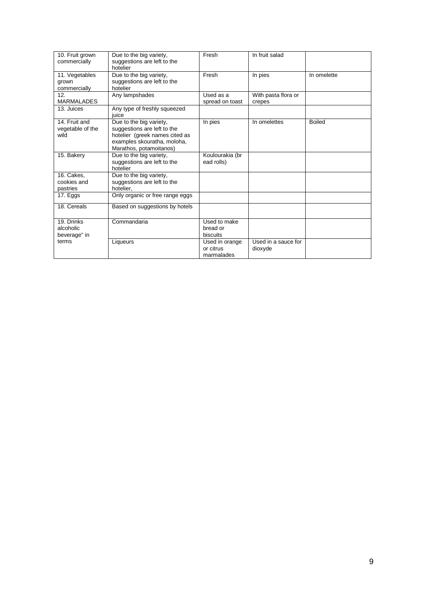| 10. Fruit grown<br>commercially           | Due to the big variety,<br>suggestions are left to the<br>hotelier                                                                                 | Fresh                                     | In fruit salad                 |               |
|-------------------------------------------|----------------------------------------------------------------------------------------------------------------------------------------------------|-------------------------------------------|--------------------------------|---------------|
| 11. Vegetables<br>grown<br>commercially   | Due to the big variety,<br>suggestions are left to the<br>hotelier                                                                                 | Fresh                                     | In pies                        | In omelette   |
| 12.<br><b>MARMALADES</b>                  | Any lampshades                                                                                                                                     | Used as a<br>spread on toast              | With pasta flora or<br>crepes  |               |
| 13. Juices                                | Any type of freshly squeezed<br>iuice                                                                                                              |                                           |                                |               |
| 14. Fruit and<br>vegetable of the<br>wild | Due to the big variety,<br>suggestions are left to the<br>hotelier (greek names cited as<br>examples skouratha, moloha,<br>Marathos, potamoitanos) | In pies                                   | In omelettes                   | <b>Boiled</b> |
| 15. Bakery                                | Due to the big variety,<br>suggestions are left to the<br>hotelier                                                                                 | Koulourakia (br<br>ead rolls)             |                                |               |
| 16. Cakes.<br>cookies and<br>pastries     | Due to the big variety,<br>suggestions are left to the<br>hotelier.                                                                                |                                           |                                |               |
| 17. Eggs                                  | Only organic or free range eggs                                                                                                                    |                                           |                                |               |
| 18. Cereals                               | Based on suggestions by hotels                                                                                                                     |                                           |                                |               |
| 19. Drinks<br>alcoholic<br>beverage" in   | Commandaria                                                                                                                                        | Used to make<br>bread or<br>biscuits      |                                |               |
| terms                                     | Liqueurs                                                                                                                                           | Used in orange<br>or citrus<br>marmalades | Used in a sauce for<br>dioxyde |               |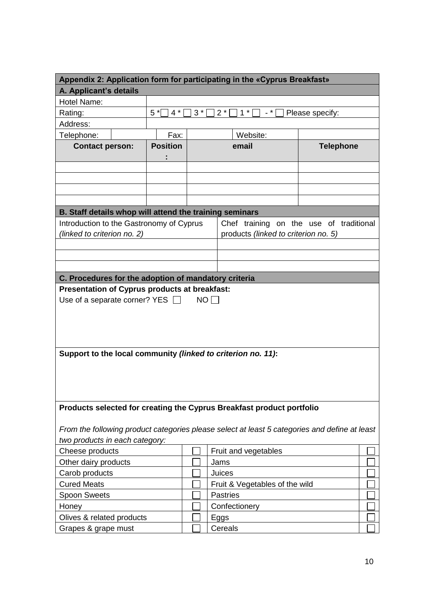|                                                                       | Appendix 2: Application form for participating in the «Cyprus Breakfast» |                                                                       |  |      |                                                                                               |                  |  |
|-----------------------------------------------------------------------|--------------------------------------------------------------------------|-----------------------------------------------------------------------|--|------|-----------------------------------------------------------------------------------------------|------------------|--|
| A. Applicant's details                                                |                                                                          |                                                                       |  |      |                                                                                               |                  |  |
| Hotel Name:                                                           |                                                                          |                                                                       |  |      |                                                                                               |                  |  |
| Rating:                                                               |                                                                          | $5^*$<br>$3^*$<br>$2^*$<br>$4^*$<br>$1^*$<br>- * l<br>Please specify: |  |      |                                                                                               |                  |  |
| Address:                                                              |                                                                          |                                                                       |  |      |                                                                                               |                  |  |
| Telephone:                                                            |                                                                          | Fax:                                                                  |  |      | Website:                                                                                      |                  |  |
| <b>Contact person:</b>                                                |                                                                          | <b>Position</b>                                                       |  |      | email                                                                                         | <b>Telephone</b> |  |
|                                                                       |                                                                          |                                                                       |  |      |                                                                                               |                  |  |
|                                                                       |                                                                          |                                                                       |  |      |                                                                                               |                  |  |
|                                                                       |                                                                          |                                                                       |  |      |                                                                                               |                  |  |
|                                                                       |                                                                          |                                                                       |  |      |                                                                                               |                  |  |
|                                                                       |                                                                          |                                                                       |  |      |                                                                                               |                  |  |
| B. Staff details whop will attend the training seminars               |                                                                          |                                                                       |  |      |                                                                                               |                  |  |
| Introduction to the Gastronomy of Cyprus                              |                                                                          |                                                                       |  |      | Chef training on the use of traditional                                                       |                  |  |
| (linked to criterion no. 2)                                           |                                                                          |                                                                       |  |      | products (linked to criterion no. 5)                                                          |                  |  |
|                                                                       |                                                                          |                                                                       |  |      |                                                                                               |                  |  |
|                                                                       |                                                                          |                                                                       |  |      |                                                                                               |                  |  |
|                                                                       |                                                                          |                                                                       |  |      |                                                                                               |                  |  |
| C. Procedures for the adoption of mandatory criteria                  |                                                                          |                                                                       |  |      |                                                                                               |                  |  |
| Presentation of Cyprus products at breakfast:                         |                                                                          |                                                                       |  |      |                                                                                               |                  |  |
| Use of a separate corner? YES [                                       |                                                                          |                                                                       |  | NO   |                                                                                               |                  |  |
|                                                                       |                                                                          |                                                                       |  |      |                                                                                               |                  |  |
|                                                                       |                                                                          |                                                                       |  |      |                                                                                               |                  |  |
|                                                                       |                                                                          |                                                                       |  |      |                                                                                               |                  |  |
|                                                                       |                                                                          |                                                                       |  |      |                                                                                               |                  |  |
|                                                                       |                                                                          |                                                                       |  |      |                                                                                               |                  |  |
| Support to the local community (linked to criterion no. 11):          |                                                                          |                                                                       |  |      |                                                                                               |                  |  |
|                                                                       |                                                                          |                                                                       |  |      |                                                                                               |                  |  |
|                                                                       |                                                                          |                                                                       |  |      |                                                                                               |                  |  |
|                                                                       |                                                                          |                                                                       |  |      |                                                                                               |                  |  |
|                                                                       |                                                                          |                                                                       |  |      |                                                                                               |                  |  |
| Products selected for creating the Cyprus Breakfast product portfolio |                                                                          |                                                                       |  |      |                                                                                               |                  |  |
|                                                                       |                                                                          |                                                                       |  |      |                                                                                               |                  |  |
|                                                                       |                                                                          |                                                                       |  |      | From the following product categories please select at least 5 categories and define at least |                  |  |
| two products in each category:                                        |                                                                          |                                                                       |  |      |                                                                                               |                  |  |
| Cheese products                                                       |                                                                          |                                                                       |  |      | Fruit and vegetables                                                                          |                  |  |
| Other dairy products                                                  |                                                                          |                                                                       |  |      | Jams                                                                                          |                  |  |
| Carob products                                                        |                                                                          |                                                                       |  |      | Juices                                                                                        |                  |  |
| <b>Cured Meats</b>                                                    |                                                                          |                                                                       |  |      | Fruit & Vegetables of the wild                                                                |                  |  |
| Spoon Sweets                                                          |                                                                          |                                                                       |  |      | <b>Pastries</b>                                                                               |                  |  |
| Honey                                                                 |                                                                          |                                                                       |  |      | Confectionery                                                                                 |                  |  |
| Olives & related products                                             |                                                                          |                                                                       |  | Eggs |                                                                                               |                  |  |
| Grapes & grape must                                                   |                                                                          |                                                                       |  |      | Cereals                                                                                       |                  |  |